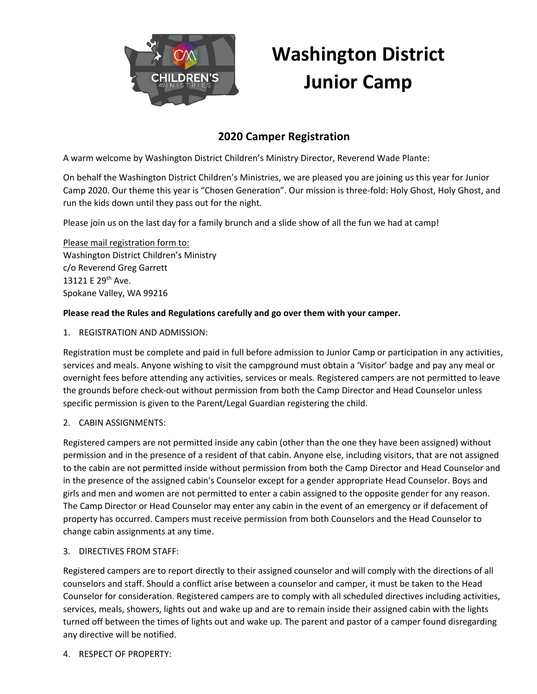

# **Washington District Junior Camp**

## **2020 Camper Registration**

A warm welcome by Washington District Children's Ministry Director, Reverend Wade Plante:

On behalf the Washington District Children's Ministries, we are pleased you are joining us this year for Junior Camp 2020. Our theme this year is "Chosen Generation". Our mission is three-fold: Holy Ghost, Holy Ghost, and run the kids down until they pass out for the night.

Please join us on the last day for a family brunch and a slide show of all the fun we had at camp!

Please mail registration form to: Washington District Children's Ministry c/o Reverend Greg Garrett 13121 E 29<sup>th</sup> Ave. Spokane Valley, WA 99216

## **Please read the Rules and Regulations carefully and go over them with your camper.**

#### 1. REGISTRATION AND ADMISSION:

Registration must be complete and paid in full before admission to Junior Camp or participation in any activities, services and meals. Anyone wishing to visit the campground must obtain a 'Visitor' badge and pay any meal or overnight fees before attending any activities, services or meals. Registered campers are not permitted to leave the grounds before check-out without permission from both the Camp Director and Head Counselor unless specific permission is given to the Parent/Legal Guardian registering the child.

#### 2. CABIN ASSIGNMENTS:

Registered campers are not permitted inside any cabin (other than the one they have been assigned) without permission and in the presence of a resident of that cabin. Anyone else, including visitors, that are not assigned to the cabin are not permitted inside without permission from both the Camp Director and Head Counselor and in the presence of the assigned cabin's Counselor except for a gender appropriate Head Counselor. Boys and girls and men and women are not permitted to enter a cabin assigned to the opposite gender for any reason. The Camp Director or Head Counselor may enter any cabin in the event of an emergency or if defacement of property has occurred. Campers must receive permission from both Counselors and the Head Counselor to change cabin assignments at any time.

#### 3. DIRECTIVES FROM STAFF:

Registered campers are to report directly to their assigned counselor and will comply with the directions of all counselors and staff. Should a conflict arise between a counselor and camper, it must be taken to the Head Counselor for consideration. Registered campers are to comply with all scheduled directives including activities, services, meals, showers, lights out and wake up and are to remain inside their assigned cabin with the lights turned off between the times of lights out and wake up. The parent and pastor of a camper found disregarding any directive will be notified.

4. RESPECT OF PROPERTY: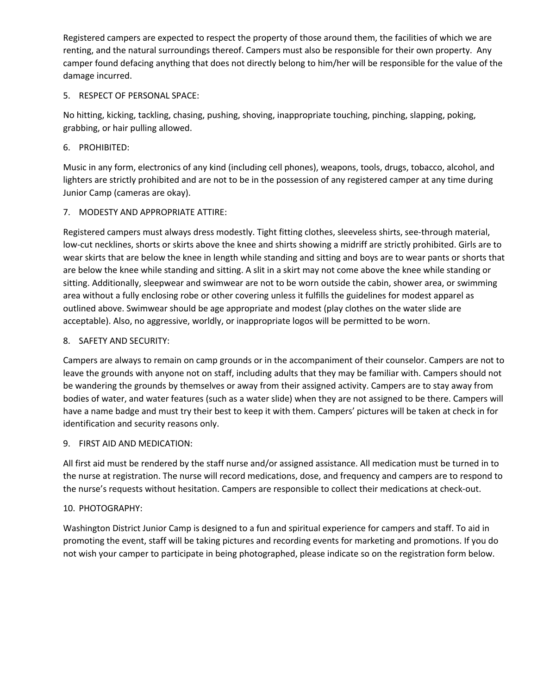Registered campers are expected to respect the property of those around them, the facilities of which we are renting, and the natural surroundings thereof. Campers must also be responsible for their own property. Any camper found defacing anything that does not directly belong to him/her will be responsible for the value of the damage incurred.

## 5. RESPECT OF PERSONAL SPACE:

No hitting, kicking, tackling, chasing, pushing, shoving, inappropriate touching, pinching, slapping, poking, grabbing, or hair pulling allowed.

## 6. PROHIBITED:

Music in any form, electronics of any kind (including cell phones), weapons, tools, drugs, tobacco, alcohol, and lighters are strictly prohibited and are not to be in the possession of any registered camper at any time during Junior Camp (cameras are okay).

## 7. MODESTY AND APPROPRIATE ATTIRE:

Registered campers must always dress modestly. Tight fitting clothes, sleeveless shirts, see-through material, low-cut necklines, shorts or skirts above the knee and shirts showing a midriff are strictly prohibited. Girls are to wear skirts that are below the knee in length while standing and sitting and boys are to wear pants or shorts that are below the knee while standing and sitting. A slit in a skirt may not come above the knee while standing or sitting. Additionally, sleepwear and swimwear are not to be worn outside the cabin, shower area, or swimming area without a fully enclosing robe or other covering unless it fulfills the guidelines for modest apparel as outlined above. Swimwear should be age appropriate and modest (play clothes on the water slide are acceptable). Also, no aggressive, worldly, or inappropriate logos will be permitted to be worn.

## 8. SAFETY AND SECURITY:

Campers are always to remain on camp grounds or in the accompaniment of their counselor. Campers are not to leave the grounds with anyone not on staff, including adults that they may be familiar with. Campers should not be wandering the grounds by themselves or away from their assigned activity. Campers are to stay away from bodies of water, and water features (such as a water slide) when they are not assigned to be there. Campers will have a name badge and must try their best to keep it with them. Campers' pictures will be taken at check in for identification and security reasons only.

#### 9. FIRST AID AND MEDICATION:

All first aid must be rendered by the staff nurse and/or assigned assistance. All medication must be turned in to the nurse at registration. The nurse will record medications, dose, and frequency and campers are to respond to the nurse's requests without hesitation. Campers are responsible to collect their medications at check-out.

#### 10. PHOTOGRAPHY:

Washington District Junior Camp is designed to a fun and spiritual experience for campers and staff. To aid in promoting the event, staff will be taking pictures and recording events for marketing and promotions. If you do not wish your camper to participate in being photographed, please indicate so on the registration form below.